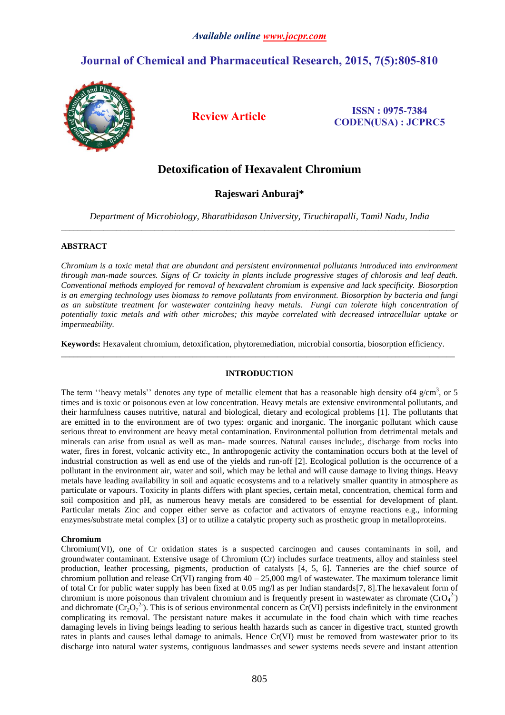# **Journal of Chemical and Pharmaceutical Research, 2015, 7(5):805-810**



**Review Article ISSN : 0975-7384 CODEN(USA) : JCPRC5**

# **Detoxification of Hexavalent Chromium**

## **Rajeswari Anburaj\***

*Department of Microbiology, Bharathidasan University, Tiruchirapalli, Tamil Nadu, India* \_\_\_\_\_\_\_\_\_\_\_\_\_\_\_\_\_\_\_\_\_\_\_\_\_\_\_\_\_\_\_\_\_\_\_\_\_\_\_\_\_\_\_\_\_\_\_\_\_\_\_\_\_\_\_\_\_\_\_\_\_\_\_\_\_\_\_\_\_\_\_\_\_\_\_\_\_\_\_\_\_\_\_\_\_\_\_\_\_\_\_\_\_

### **ABSTRACT**

*Chromium is a toxic metal that are abundant and persistent environmental pollutants introduced into environment through man-made sources. Signs of Cr toxicity in plants include progressive stages of chlorosis and leaf death. Conventional methods employed for removal of hexavalent chromium is expensive and lack specificity. Biosorption is an emerging technology uses biomass to remove pollutants from environment. Biosorption by bacteria and fungi as an substitute treatment for wastewater containing heavy metals. Fungi can tolerate high concentration of potentially toxic metals and with other microbes; this maybe correlated with decreased intracellular uptake or impermeability.*

**Keywords:** Hexavalent chromium, detoxification, phytoremediation, microbial consortia, biosorption efficiency. \_\_\_\_\_\_\_\_\_\_\_\_\_\_\_\_\_\_\_\_\_\_\_\_\_\_\_\_\_\_\_\_\_\_\_\_\_\_\_\_\_\_\_\_\_\_\_\_\_\_\_\_\_\_\_\_\_\_\_\_\_\_\_\_\_\_\_\_\_\_\_\_\_\_\_\_\_\_\_\_\_\_\_\_\_\_\_\_\_\_\_\_\_

#### **INTRODUCTION**

The term "heavy metals" denotes any type of metallic element that has a reasonable high density of 4 g/cm<sup>3</sup>, or 5 times and is toxic or poisonous even at low concentration. Heavy metals are extensive environmental pollutants, and their harmfulness causes nutritive, natural and biological, dietary and ecological problems [1]. The pollutants that are emitted in to the environment are of two types: organic and inorganic. The inorganic pollutant which cause serious threat to environment are heavy metal contamination. Environmental pollution from detrimental metals and minerals can arise from usual as well as man- made sources. Natural causes include;, discharge from rocks into water, fires in forest, volcanic activity etc., In anthropogenic activity the contamination occurs both at the level of industrial construction as well as end use of the yields and run-off [2]. Ecological pollution is the occurrence of a pollutant in the environment air, water and soil, which may be lethal and will cause damage to living things. Heavy metals have leading availability in soil and aquatic ecosystems and to a relatively smaller quantity in atmosphere as particulate or vapours. Toxicity in plants differs with plant species, certain metal, concentration, chemical form and soil composition and pH, as numerous heavy metals are considered to be essential for development of plant. Particular metals Zinc and copper either serve as cofactor and activators of enzyme reactions e.g., informing enzymes/substrate metal complex [3] or to utilize a catalytic property such as prosthetic group in metalloproteins.

#### **Chromium**

Chromium(VI), one of Cr oxidation states is a suspected carcinogen and causes contaminants in soil, and groundwater contaminant. Extensive usage of Chromium (Cr) includes surface treatments, alloy and stainless steel production, leather processing, pigments, production of catalysts [4, 5, 6]. Tanneries are the chief source of chromium pollution and release Cr(VI) ranging from  $40 - 25{,}000$  mg/l of wastewater. The maximum tolerance limit of total Cr for public water supply has been fixed at 0.05 mg/l as per Indian standards[7, 8].The hexavalent form of chromium is more poisonous than trivalent chromium and is frequently present in wastewater as chromate  $(CrO<sub>4</sub><sup>2</sup>)$ and dichromate  $(Cr_2O_7^2)$ . This is of serious environmental concern as  $Cr(VI)$  persists indefinitely in the environment complicating its removal. The persistant nature makes it accumulate in the food chain which with time reaches damaging levels in living beings leading to serious health hazards such as cancer in digestive tract, stunted growth rates in plants and causes lethal damage to animals. Hence Cr(VI) must be removed from wastewater prior to its discharge into natural water systems, contiguous landmasses and sewer systems needs severe and instant attention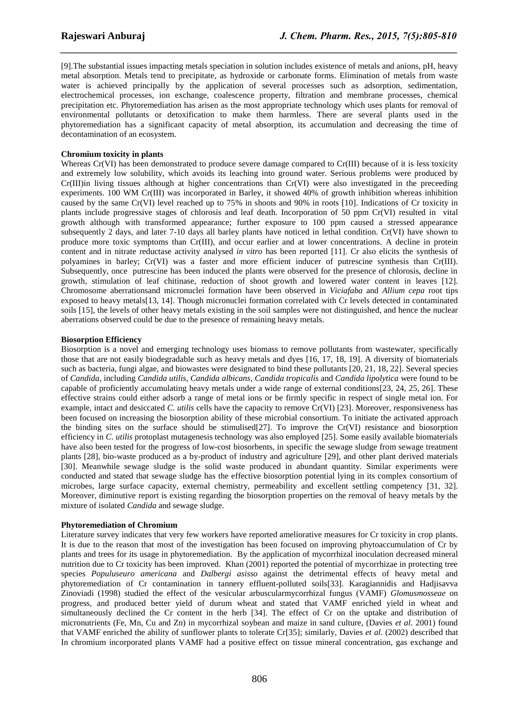[9].The substantial issues impacting metals speciation in solution includes existence of metals and anions, pH, heavy metal absorption. Metals tend to precipitate, as hydroxide or carbonate forms. Elimination of metals from waste water is achieved principally by the application of several processes such as adsorption, sedimentation, electrochemical processes, ion exchange, coalescence property, filtration and membrane processes, chemical precipitation etc. Phytoremediation has arisen as the most appropriate technology which uses plants for removal of environmental pollutants or detoxification to make them harmless. There are several plants used in the phytoremediation has a significant capacity of metal absorption, its accumulation and decreasing the time of decontamination of an ecosystem.

*\_\_\_\_\_\_\_\_\_\_\_\_\_\_\_\_\_\_\_\_\_\_\_\_\_\_\_\_\_\_\_\_\_\_\_\_\_\_\_\_\_\_\_\_\_\_\_\_\_\_\_\_\_\_\_\_\_\_\_\_\_\_\_\_\_\_\_\_\_\_\_\_\_\_\_\_\_\_*

### **Chromium toxicity in plants**

Whereas Cr(VI) has been demonstrated to produce severe damage compared to Cr(III) because of it is less toxicity and extremely low solubility, which avoids its leaching into ground water. Serious problems were produced by Cr(III)in living tissues although at higher concentrations than Cr(VI) were also investigated in the preceeding experiments. 100 WM Cr(III) was incorporated in Barley, it showed 40% of growth inhibition whereas inhibition caused by the same Cr(VI) level reached up to 75% in shoots and 90% in roots [10]. Indications of Cr toxicity in plants include progressive stages of chlorosis and leaf death. Incorporation of 50 ppm Cr(VI) resulted in vital growth although with transformed appearance; further exposure to 100 ppm caused a stressed appearance subsequently 2 days, and later 7-10 days all barley plants have noticed in lethal condition. Cr(VI) have shown to produce more toxic symptoms than Cr(III), and occur earlier and at lower concentrations. A decline in protein content and in nitrate reductase activity analysed *in vitro* has been reported [11]. Cr also elicits the synthesis of polyamines in barley; Cr(VI) was a faster and more efficient inducer of putrescine synthesis than Cr(III). Subsequently, once putrescine has been induced the plants were observed for the presence of chlorosis, decline in growth, stimulation of leaf chitinase, reduction of shoot growth and lowered water content in leaves [12]. Chromosome aberrationsand micronuclei formation have been observed in *Viciafaba* and *Allium cepa* root tips exposed to heavy metals[13, 14]. Though micronuclei formation correlated with Cr levels detected in contaminated soils [15], the levels of other heavy metals existing in the soil samples were not distinguished, and hence the nuclear aberrations observed could be due to the presence of remaining heavy metals.

#### **Biosorption Efficiency**

Biosorption is a novel and emerging technology uses biomass to remove pollutants from wastewater, specifically those that are not easily biodegradable such as heavy metals and dyes [16, 17, 18, 19]. A diversity of biomaterials such as bacteria, fungi algae, and biowastes were designated to bind these pollutants [20, 21, 18, 22]. Several species of *Candida*, including *Candida utilis*, *Candida albicans*, *Candida tropicalis* and *Candida lipolytica* were found to be capable of proficiently accumulating heavy metals under a wide range of external conditions[23, 24, 25, 26]. These effective strains could either adsorb a range of metal ions or be firmly specific in respect of single metal ion. For example, intact and desiccated *C*. *utilis* cells have the capacity to remove Cr(VI) [23]. Moreover, responsiveness has been focused on increasing the biosorption ability of these microbial consortium. To initiate the activated approach the binding sites on the surface should be stimulised[27]. To improve the Cr(VI) resistance and biosorption efficiency in *C*. *utilis* protoplast mutagenesis technology was also employed [25]. Some easily available biomaterials have also been tested for the progress of low-cost biosorbents, in specific the sewage sludge from sewage treatment plants [28], bio-waste produced as a by-product of industry and agriculture [29], and other plant derived materials [30]. Meanwhile sewage sludge is the solid waste produced in abundant quantity. Similar experiments were conducted and stated that sewage sludge has the effective biosorption potential lying in its complex consortium of microbes, large surface capacity, external chemistry, permeability and excellent settling competency [31, 32]. Moreover, diminutive report is existing regarding the biosorption properties on the removal of heavy metals by the mixture of isolated *Candida* and sewage sludge.

#### **Phytoremediation of Chromium**

Literature survey indicates that very few workers have reported ameliorative measures for Cr toxicity in crop plants. It is due to the reason that most of the investigation has been focused on improving phytoaccumulation of Cr by plants and trees for its usage in phytoremediation. By the application of mycorrhizal inoculation decreased mineral nutrition due to Cr toxicity has been improved. Khan (2001) reported the potential of mycorrhizae in protecting tree species *Populuseuro americana* and *Dalbergi asisso* against the detrimental effects of heavy metal and phytoremediation of Cr contamination in tannery effluent-polluted soils[33]. Karagiannidis and Hadjisavva Zinoviadi (1998) studied the effect of the vesicular arbuscularmycorrhizal fungus (VAMF) *Glomusmosseae* on progress, and produced better yield of durum wheat and stated that VAMF enriched yield in wheat and simultaneously declined the Cr content in the herb [34]. The effect of Cr on the uptake and distribution of micronutrients (Fe, Mn, Cu and Zn) in mycorrhizal soybean and maize in sand culture, (Davies *et al*. 2001) found that VAMF enriched the ability of sunflower plants to tolerate Cr[35]; similarly, Davies *et al*. (2002) described that In chromium incorporated plants VAMF had a positive effect on tissue mineral concentration, gas exchange and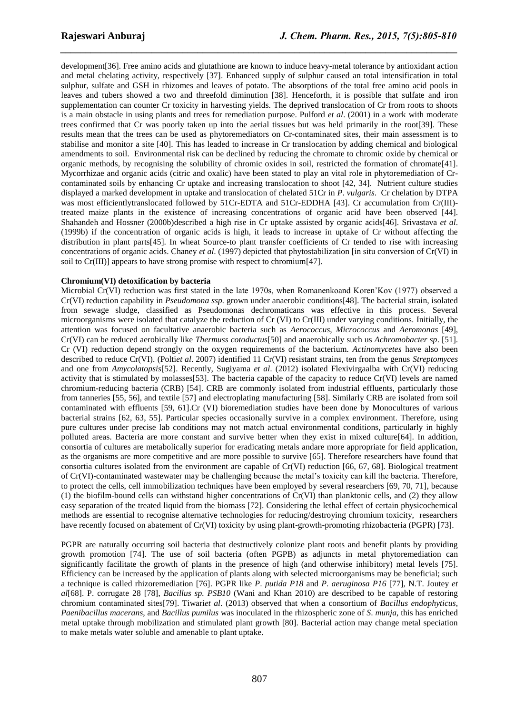development[36]. Free amino acids and glutathione are known to induce heavy-metal tolerance by antioxidant action and metal chelating activity, respectively [37]. Enhanced supply of sulphur caused an total intensification in total sulphur, sulfate and GSH in rhizomes and leaves of potato. The absorptions of the total free amino acid pools in leaves and tubers showed a two and threefold diminution [38]. Henceforth, it is possible that sulfate and iron supplementation can counter Cr toxicity in harvesting yields. The deprived translocation of Cr from roots to shoots is a main obstacle in using plants and trees for remediation purpose. Pulford *et al*. (2001) in a work with moderate trees confirmed that Cr was poorly taken up into the aerial tissues but was held primarily in the root[39]. These results mean that the trees can be used as phytoremediators on Cr-contaminated sites, their main assessment is to stabilise and monitor a site [40]. This has leaded to increase in Cr translocation by adding chemical and biological amendments to soil. Environmental risk can be declined by reducing the chromate to chromic oxide by chemical or organic methods, by recognising the solubility of chromic oxides in soil, restricted the formation of chromate[41]. Mycorrhizae and organic acids (citric and oxalic) have been stated to play an vital role in phytoremediation of Crcontaminated soils by enhancing Cr uptake and increasing translocation to shoot [42, 34]. Nutrient culture studies displayed a marked development in uptake and translocation of chelated 51Cr in *P*. *vulgaris*. Cr chelation by DTPA was most efficientlytranslocated followed by 51Cr-EDTA and 51Cr-EDDHA [43]. Cr accumulation from Cr(III)treated maize plants in the existence of increasing concentrations of organic acid have been observed [44]. Shahandeh and Hossner (2000b)described a high rise in Cr uptake assisted by organic acids[46]. Srivastava *et al*. (1999b) if the concentration of organic acids is high, it leads to increase in uptake of Cr without affecting the distribution in plant parts[45]. In wheat Source-to plant transfer coefficients of Cr tended to rise with increasing concentrations of organic acids. Chaney *et al*. (1997) depicted that phytostabilization [in situ conversion of Cr(VI) in soil to Cr(III)] appears to have strong promise with respect to chromium[47].

*\_\_\_\_\_\_\_\_\_\_\_\_\_\_\_\_\_\_\_\_\_\_\_\_\_\_\_\_\_\_\_\_\_\_\_\_\_\_\_\_\_\_\_\_\_\_\_\_\_\_\_\_\_\_\_\_\_\_\_\_\_\_\_\_\_\_\_\_\_\_\_\_\_\_\_\_\_\_*

#### **Chromium(VI) detoxification by bacteria**

Microbial Cr(VI) reduction was first stated in the late 1970s, when Romanenkoand Koren"Kov (1977) observed a Cr(VI) reduction capability in *Pseudomona ssp.* grown under anaerobic conditions[48]. The bacterial strain, isolated from sewage sludge, classified as Pseudomonas dechromaticans was effective in this process. Several microorganisms were isolated that catalyze the reduction of Cr (VI) to Cr(III) under varying conditions. Initially, the attention was focused on facultative anaerobic bacteria such as *Aerococcus*, *Micrococcus* and *Aeromonas* [49], Cr(VI) can be reduced aerobically like *Thermuss cotoductus*[50] and anaerobically such us *Achromobacter sp*. [51]. Cr (VI) reduction depend strongly on the oxygen requirements of the bacterium. *Actinomycetes* have also been described to reduce Cr(VI). (Polti*et al*. 2007) identified 11 Cr(VI) resistant strains, ten from the genus *Streptomyces* and one from *Amycolatopsis*[52]. Recently, Sugiyama *et al*. (2012) isolated Flexivirgaalba with Cr(VI) reducing activity that is stimulated by molasses[53]. The bacteria capable of the capacity to reduce Cr(VI) levels are named chromium-reducing bacteria (CRB) [54]. CRB are commonly isolated from industrial effluents, particularly those from tanneries [55, 56], and textile [57] and electroplating manufacturing [58]. Similarly CRB are isolated from soil contaminated with effluents [59, 61].Cr (VI) bioremediation studies have been done by Monocultures of various bacterial strains [62, 63, 55]. Particular species occasionally survive in a complex environment. Therefore, using pure cultures under precise lab conditions may not match actual environmental conditions, particularly in highly polluted areas. Bacteria are more constant and survive better when they exist in mixed culture[64]. In addition, consortia of cultures are metabolically superior for eradicating metals andare more appropriate for field application, as the organisms are more competitive and are more possible to survive [65]. Therefore researchers have found that consortia cultures isolated from the environment are capable of Cr(VI) reduction [66, 67, 68]. Biological treatment of Cr(VI)-contaminated wastewater may be challenging because the metal"s toxicity can kill the bacteria. Therefore, to protect the cells, cell immobilization techniques have been employed by several researchers [69, 70, 71], because (1) the biofilm-bound cells can withstand higher concentrations of Cr(VI) than planktonic cells, and (2) they allow easy separation of the treated liquid from the biomass [72]. Considering the lethal effect of certain physicochemical methods are essential to recognise alternative technologies for reducing/destroying chromium toxicity, researchers have recently focused on abatement of Cr(VI) toxicity by using plant-growth-promoting rhizobacteria (PGPR) [73].

PGPR are naturally occurring soil bacteria that destructively colonize plant roots and benefit plants by providing growth promotion [74]. The use of soil bacteria (often PGPB) as adjuncts in metal phytoremediation can significantly facilitate the growth of plants in the presence of high (and otherwise inhibitory) metal levels [75]. Efficiency can be increased by the application of plants along with selected microorganisms may be beneficial; such a technique is called rhizoremediation [76]. PGPR like *P*. *putida P18* and *P*. *aeruginosa P16* [77], N.T. Joutey *et al*[68]. P. corrugate 28 [78], *Bacillus sp. PSB10* (Wani and Khan 2010) are described to be capable of restoring chromium contaminated sites[79]. Tiwari*et al*. (2013) observed that when a consortium of *Bacillus endophyticus*, *Paenibacillus macerans*, and *Bacillus pumilus* was inoculated in the rhizospheric zone of *S*. *munja*, this has enriched metal uptake through mobilization and stimulated plant growth [80]. Bacterial action may change metal speciation to make metals water soluble and amenable to plant uptake.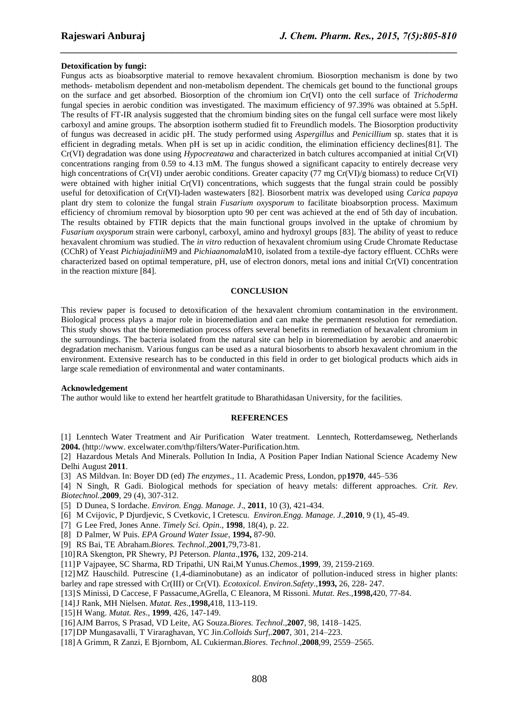#### **Detoxification by fungi:**

Fungus acts as bioabsorptive material to remove hexavalent chromium. Biosorption mechanism is done by two methods- metabolism dependent and non-metabolism dependent. The chemicals get bound to the functional groups on the surface and get absorbed. Biosorption of the chromium ion Cr(VI) onto the cell surface of *Trichoderma* fungal species in aerobic condition was investigated. The maximum efficiency of 97.39% was obtained at 5.5pH. The results of FT-IR analysis suggested that the chromium binding sites on the fungal cell surface were most likely carboxyl and amine groups. The absorption isotherm studied fit to Freundlich models. The Biosorption productivity of fungus was decreased in acidic pH. The study performed using *Aspergillus* and *Penicillium* sp. states that it is efficient in degrading metals. When pH is set up in acidic condition, the elimination efficiency declines[81]. The Cr(VI) degradation was done using *Hypocreatawa* and characterized in batch cultures accompanied at initial Cr(VI) concentrations ranging from 0.59 to 4.13 mM. The fungus showed a significant capacity to entirely decrease very high concentrations of Cr(VI) under aerobic conditions. Greater capacity (77 mg Cr(VI)/g biomass) to reduce Cr(VI) were obtained with higher initial Cr(VI) concentrations, which suggests that the fungal strain could be possibly useful for detoxification of Cr(VI)-laden wastewaters [82]. Biosorbent matrix was developed using *Carica papaya*  plant dry stem to colonize the fungal strain *Fusarium oxysporum* to facilitate bioabsorption process. Maximum efficiency of chromium removal by biosorption upto 90 per cent was achieved at the end of 5th day of incubation. The results obtained by FTIR depicts that the main functional groups involved in the uptake of chromium by *Fusarium oxysporum* strain were carbonyl, carboxyl, amino and hydroxyl groups [83]. The ability of yeast to reduce hexavalent chromium was studied. The *in vitro* reduction of hexavalent chromium using Crude Chromate Reductase (CChR) of Yeast *Pichiajadinii*M9 and *Pichiaanomala*M10, isolated from a textile-dye factory effluent. CChRs were characterized based on optimal temperature, pH, use of electron donors, metal ions and initial Cr(VI) concentration in the reaction mixture [84].

*\_\_\_\_\_\_\_\_\_\_\_\_\_\_\_\_\_\_\_\_\_\_\_\_\_\_\_\_\_\_\_\_\_\_\_\_\_\_\_\_\_\_\_\_\_\_\_\_\_\_\_\_\_\_\_\_\_\_\_\_\_\_\_\_\_\_\_\_\_\_\_\_\_\_\_\_\_\_*

#### **CONCLUSION**

This review paper is focused to detoxification of the hexavalent chromium contamination in the environment. Biological process plays a major role in bioremediation and can make the permanent resolution for remediation. This study shows that the bioremediation process offers several benefits in remediation of hexavalent chromium in the surroundings. The bacteria isolated from the natural site can help in bioremediation by aerobic and anaerobic degradation mechanism. Various fungus can be used as a natural biosorbents to absorb hexavalent chromium in the environment. Extensive research has to be conducted in this field in order to get biological products which aids in large scale remediation of environmental and water contaminants.

#### **Acknowledgement**

The author would like to extend her heartfelt gratitude to Bharathidasan University, for the facilities.

#### **REFERENCES**

[1] Lenntech Water Treatment and Air Purification Water treatment. Lenntech, Rotterdamseweg, Netherlands **2004.** (http://www. excelwater.com/thp/filters/Water-Purification.htm.

[2] Hazardous Metals And Minerals. Pollution In India, A Position Paper Indian National Science Academy New Delhi August **2011**.

[3] AS Mildvan. In: Boyer DD (ed) *The enzymes*., 11. Academic Press, London, pp**1970**, 445–536

[4] N Singh, R Gadi. Biological methods for speciation of heavy metals: different approaches. *Crit. Rev. Biotechnol.*,**2009**, 29 (4), 307-312.

- [5] D Dunea, S Iordache. *Environ. Engg. Manage. J*., **2011**, 10 (3), 421-434.
- [6] M Cvijovic, P Djurdjevic, S Cvetkovic, I Cretescu. *Environ.Engg. Manage. J*.,**2010**, 9 (1), 45-49.
- [7] G Lee Fred, Jones Anne. *Timely Sci. Opin*., **1998**, 18(4), p. 22.
- [8] D Palmer, W Puis. *EPA Ground Water Issue*, **1994,** 87-90.
- [9] RS Bai, TE Abraham.*Biores. Technol.,***2001**,79,73-81.
- [10]RA Skengton, PR Shewry, PJ Peterson. *Planta*.,**1976,** 132, 209-214.

[11]P Vajpayee, SC Sharma, RD Tripathi, UN Rai,M Yunus.*Chemos.*,**1999**, 39, 2159-2169.

- [12]MZ Hauschild. Putrescine (1,4-diaminobutane) as an indicator of pollution-induced stress in higher plants: barley and rape stressed with Cr(III) or Cr(VI). *Ecotoxicol. Environ.Safety*.,**1993,** 26, 228- 247.
- [13]S Minissi, D Caccese, F Passacume,AGrella, C Eleanora, M Rissoni. *Mutat. Res*.,**1998,**420, 77-84.
- [14]J Rank, MH Nielsen. *Mutat. Res*.,**1998,**418, 113**-**119.
- [15]H Wang. *Mutat. Res*., **1999**, 426, 147-149.
- [16]AJM Barros, S Prasad, VD Leite, AG Souza.*Biores. Technol*.,**2007**, 98, 1418–1425.
- [17]DP Mungasavalli, T Viraraghavan, YC Jin.*Colloids Surf*,.**2007**, 301, 214–223.
- [18]A Grimm, R Zanzi, E Bjornbom, AL Cukierman.*Biores. Technol*.,**2008**,99, 2559–2565.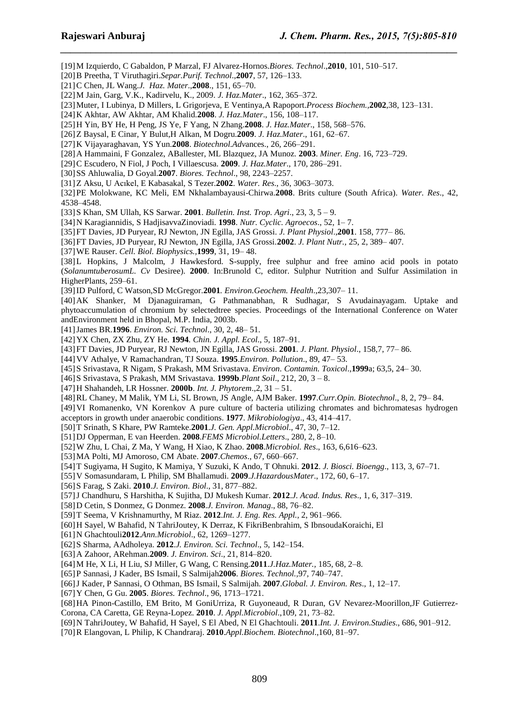[19]M Izquierdo, C Gabaldon, P Marzal, FJ Alvarez-Hornos.*Biores. Technol*.,**2010**, 101, 510–517.

[20]B Preetha, T Viruthagiri.*Separ.Purif. Technol*.,**2007**, 57, 126–133.

- [21]C Chen, JL Wang.*J. Haz. Mater*.,**2008**., 151, 65–70.
- [22]M Jain, Garg, V.K., Kadirvelu, K., 2009. *J. Haz.Mater*., 162, 365–372.
- [23]Muter, I Lubinya, D Millers, L Grigorjeva, E Ventinya,A Rapoport.*Process Biochem.,***2002**,38, 123–131.

*\_\_\_\_\_\_\_\_\_\_\_\_\_\_\_\_\_\_\_\_\_\_\_\_\_\_\_\_\_\_\_\_\_\_\_\_\_\_\_\_\_\_\_\_\_\_\_\_\_\_\_\_\_\_\_\_\_\_\_\_\_\_\_\_\_\_\_\_\_\_\_\_\_\_\_\_\_\_*

- [24]K Akhtar, AW Akhtar, AM Khalid.**2008**. *J. Haz.Mater*., 156, 108–117.
- [25]H Yin, BY He, H Peng, JS Ye, F Yang, N Zhang.**2008**. *J. Haz.Mater*., 158, 568–576.
- [26]Z Baysal, E Cinar, Y Bulut,H Alkan, M Dogru.**2009**. *J. Haz.Mater*., 161, 62–67.
- [27]K Vijayaraghavan, YS Yun.**2008**. *Biotechnol.Adv*ances., 26, 266–291.
- [28]A Hammaini, F Gonzalez, ABallester, ML Blazquez, JA Munoz. **2003**. *Miner. Eng*. 16, 723–729.
- [29]C Escudero, N Fiol, J Poch, I Villaescusa. **2009**. *J. Haz.Mater*., 170, 286–291.
- [30]SS Ahluwalia, D Goyal.**2007**. *Biores. Technol*., 98, 2243–2257.
- [31]Z Aksu, U Acıkel, E Kabasakal, S Tezer.**2002**. *Water. Res*., 36, 3063–3073.

[32]PE Molokwane, KC Meli, EM Nkhalambayausi-Chirwa.**2008**. Brits culture (South Africa). *Water. Res*., 42, 4538–4548.

- [33]S Khan, SM Ullah, KS Sarwar. **2001**. *Bulletin. Inst. Trop. Agri*., 23, 3, 5 9.
- [34]N Karagiannidis, S HadjisavvaZinoviadi. **1998**. *Nutr. Cyclic. Agroecos*., 52, 1– 7.
- [35]FT Davies, JD Puryear, RJ Newton, JN Egilla, JAS Grossi. *J. Plant Physiol*.,**2001**. 158, 777– 86.
- [36]FT Davies, JD Puryear, RJ Newton, JN Egilla, JAS Grossi.**2002**. *J. Plant Nutr.,* 25, 2, 389– 407.
- [37]WE Rauser. *Cell. Biol. Biophysics.,***1999**, 31, 19– 48.
- [38]L Hopkins, J Malcolm, J Hawkesford. S-supply, free sulphur and free amino acid pools in potato (*SolanumtuberosumL. Cv* Desiree). **2000**. In:Brunold C, editor. Sulphur Nutrition and Sulfur Assimilation in HigherPlants, 259–61.
- [39]ID Pulford, C Watson,SD McGregor.**2001***. Environ.Geochem. Health*.,23,307– 11.
- [40]AK Shanker, M Djanaguiraman, G Pathmanabhan, R Sudhagar, S Avudainayagam. Uptake and phytoaccumulation of chromium by selectedtree species. Proceedings of the International Conference on Water andEnvironment held in Bhopal, M.P. India, 2003b.
- [41]James BR.**1996**. *Environ. Sci. Technol*., 30, 2, 48– 51.
- [42]YX Chen, ZX Zhu, ZY He. **1994***. Chin. J. Appl. Ecol*., 5, 187–91.
- [43]FT Davies, JD Puryear, RJ Newton, JN Egilla, JAS Grossi. **2001**. *J. Plant. Physiol*., 158,7, 77– 86.
- [44]VV Athalye, V Ramachandran, TJ Souza. **1995**.*Environ. Pollution*., 89, 47– 53.
- [45]S Srivastava, R Nigam, S Prakash, MM Srivastava. *Environ. Contamin. Toxicol*.,**1999**a; 63,5, 24– 30.
- [46]S Srivastava, S Prakash, MM Srivastava. **1999b**.*Plant Soil*., 212, 20, 3 8.
- [47]H Shahandeh, LR Hossner. **2000b**. *Int. J. Phytorem*.,2, 31 51.
- [48]RL Chaney, M Malik, YM Li, SL Brown, JS Angle, AJM Baker. **1997**.*Curr.Opin. Biotechnol*., 8, 2, 79– 84.
- [49]VI Romanenko, VN Korenkov A pure culture of bacteria utilizing chromates and bichromatesas hydrogen acceptors in growth under anaerobic conditions. **1977**. *Mikrobiologiya*., 43, 414–417.
- [50]T Srinath, S Khare, PW Ramteke.**2001**.*J. Gen. Appl.Microbiol*., 47, 30, 7–12.
- [51]DJ Opperman, E van Heerden. **2008**.*FEMS Microbiol.Letters*., 280, 2, 8–10.
- [52]W Zhu, L Chai, Z Ma, Y Wang, H Xiao, K Zhao. **2008**.*Microbiol. Res*., 163, 6,616–623.
- [53]MA Polti, MJ Amoroso, CM Abate. **2007**.*Chemos*., 67, 660–667.
- [54]T Sugiyama, H Sugito, K Mamiya, Y Suzuki, K Ando, T Ohnuki. **2012**. *J. Biosci. Bioengg*., 113, 3, 67–71.
- [55]V Somasundaram, L Philip, SM Bhallamudi. **2009**.*J.HazardousMater*., 172, 60, 6–17.
- [56]S Farag, S Zaki. **2010**.*J. Environ. Biol*., 31, 877–882.
- [57]J Chandhuru, S Harshitha, K Sujitha, DJ Mukesh Kumar. **2012**.*J. Acad. Indus. Res*., 1, 6, 317–319.
- [58]D Cetin, S Donmez, G Donmez. **2008**.*J. Environ. Manag*., 88, 76–82.
- [59]T Seema, V Krishnamurthy, M Riaz. **2012**.*Int. J. Eng. Res. Appl.,* 2, 961–966.
- [60]H Sayel, W Bahafid, N TahriJoutey, K Derraz, K FikriBenbrahim, S IbnsoudaKoraichi, El
- [61]N Ghachtouli**2012**.*Ann.Microbiol*., 62, 1269–1277.
- [62]S Sharma, AAdholeya. **2012**.*J. Environ. Sci. Technol*., 5, 142–154.
- [63]A Zahoor, ARehman.**2009**. *J. Environ. Sci*., 21, 814–820.
- [64]M He, X Li, H Liu, SJ Miller, G Wang, C Rensing.**2011**.*J.Haz.Mater.,* 185, 68, 2–8.
- [65]P Sannasi, J Kader, BS Ismail, S Salmijah**2006**. *Biores. Technol.,*97, 740–747.
- [66]J Kader, P Sannasi, O Othman, BS Ismail, S Salmijah. **2007**.*Global. J. Environ. Res*., 1, 12–17.
- [67]Y Chen, G Gu. **2005**. *Biores. Technol*., 96, 1713–1721.
- [68]HA Pinon-Castillo, EM Brito, M GoniUrriza, R Guyoneaud, R Duran, GV Nevarez-Moorillon,JF Gutierrez-Corona, CA Caretta, GE Reyna-Lopez. **2010**. *J. Appl.Microbiol*.,109, 21, 73–82.
- [69]N TahriJoutey, W Bahafid, H Sayel, S El Abed, N El Ghachtouli. **2011**.*Int. J. Environ.Studies*., 686, 901–912.
- [70]R Elangovan, L Philip, K Chandraraj. **2010**.*Appl.Biochem. Biotechnol*.,160, 81–97.